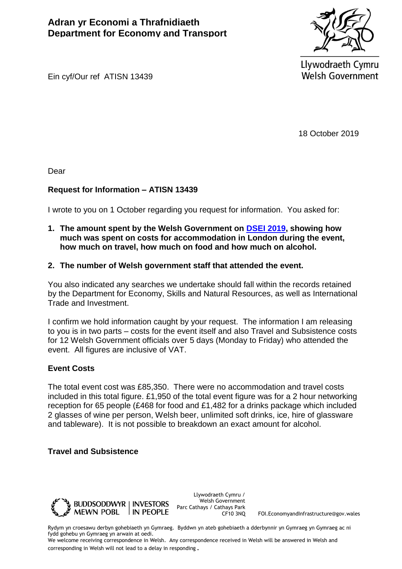

Llywodraeth Cymru **Welsh Government** 

Ein cyf/Our ref ATISN 13439

18 October 2019

Dear

## **Request for Information – ATISN 13439**

I wrote to you on 1 October regarding you request for information. You asked for:

- **1. The amount spent by the Welsh Government on [DSEI 2019,](https://tradeandinvest.wales/events/dsei-2019) showing how much was spent on costs for accommodation in London during the event, how much on travel, how much on food and how much on alcohol.**
- **2. The number of Welsh government staff that attended the event.**

You also indicated any searches we undertake should fall within the records retained by the Department for Economy, Skills and Natural Resources, as well as International Trade and Investment.

I confirm we hold information caught by your request. The information I am releasing to you is in two parts – costs for the event itself and also Travel and Subsistence costs for 12 Welsh Government officials over 5 days (Monday to Friday) who attended the event. All figures are inclusive of VAT.

## **Event Costs**

The total event cost was £85,350. There were no accommodation and travel costs included in this total figure. £1,950 of the total event figure was for a 2 hour networking reception for 65 people (£468 for food and £1,482 for a drinks package which included 2 glasses of wine per person, Welsh beer, unlimited soft drinks, ice, hire of glassware and tableware). It is not possible to breakdown an exact amount for alcohol.

## **Travel and Subsistence**



Llywodraeth Cymru / Welsh Government Parc Cathays / Cathays Park

CF10 3NQ FOI.EconomyandInfrastructure@gov.wales

Rydym yn croesawu derbyn gohebiaeth yn Gymraeg. Byddwn yn ateb gohebiaeth a dderbynnir yn Gymraeg yn Gymraeg ac ni fydd gohebu yn Gymraeg yn arwain at oedi.

We welcome receiving correspondence in Welsh. Any correspondence received in Welsh will be answered in Welsh and corresponding in Welsh will not lead to a delay in responding.